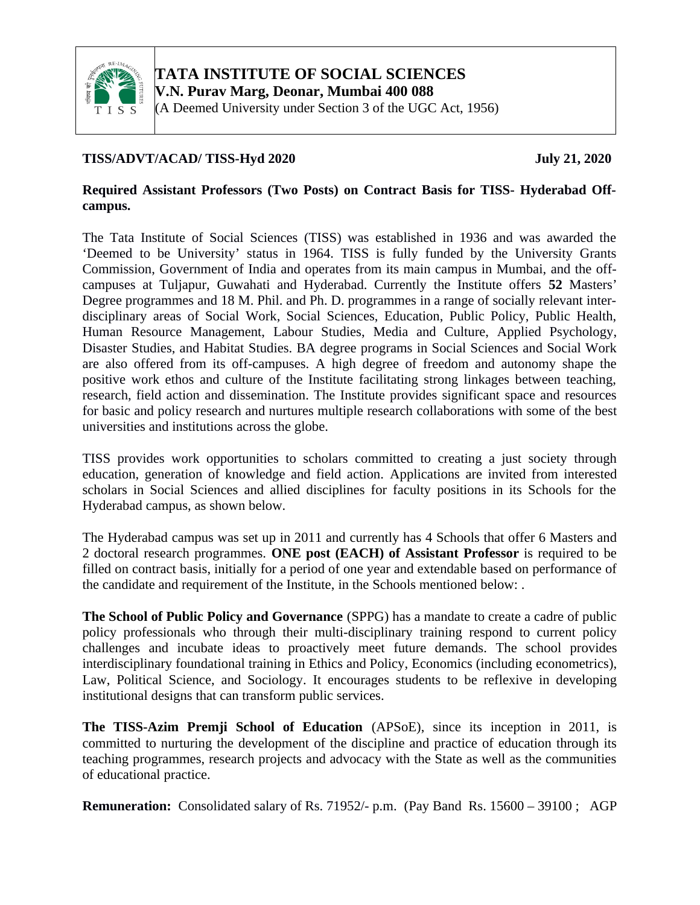

**TATA INSTITUTE OF SOCIAL SCIENCES**

**V.N. Purav Marg, Deonar, Mumbai 400 088**

(A Deemed University under Section 3 of the UGC Act, 1956)

### **TISS/ADVT/ACAD/ TISS-Hyd 2020 July 21, 2020**

### **Required Assistant Professors (Two Posts) on Contract Basis for TISS- Hyderabad Offcampus.**

The Tata Institute of Social Sciences (TISS) was established in 1936 and was awarded the 'Deemed to be University' status in 1964. TISS is fully funded by the University Grants Commission, Government of India and operates from its main campus in Mumbai, and the offcampuses at Tuljapur, Guwahati and Hyderabad. Currently the Institute offers **52** Masters' Degree programmes and 18 M. Phil. and Ph. D. programmes in a range of socially relevant interdisciplinary areas of Social Work, Social Sciences, Education, Public Policy, Public Health, Human Resource Management, Labour Studies, Media and Culture, Applied Psychology, Disaster Studies, and Habitat Studies. BA degree programs in Social Sciences and Social Work are also offered from its off-campuses. A high degree of freedom and autonomy shape the positive work ethos and culture of the Institute facilitating strong linkages between teaching, research, field action and dissemination. The Institute provides significant space and resources for basic and policy research and nurtures multiple research collaborations with some of the best universities and institutions across the globe.

TISS provides work opportunities to scholars committed to creating a just society through education, generation of knowledge and field action. Applications are invited from interested scholars in Social Sciences and allied disciplines for faculty positions in its Schools for the Hyderabad campus, as shown below.

The Hyderabad campus was set up in 2011 and currently has 4 Schools that offer 6 Masters and 2 doctoral research programmes. **ONE post (EACH) of Assistant Professor** is required to be filled on contract basis, initially for a period of one year and extendable based on performance of the candidate and requirement of the Institute, in the Schools mentioned below: .

**The School of Public Policy and Governance** (SPPG) has a mandate to create a cadre of public policy professionals who through their multi-disciplinary training respond to current policy challenges and incubate ideas to proactively meet future demands. The school provides interdisciplinary foundational training in Ethics and Policy, Economics (including econometrics), Law, Political Science, and Sociology. It encourages students to be reflexive in developing institutional designs that can transform public services.

**The TISS-Azim Premji School of Education** (APSoE), since its inception in 2011, is committed to nurturing the development of the discipline and practice of education through its teaching programmes, research projects and advocacy with the State as well as the communities of educational practice.

**Remuneration:** Consolidated salary of Rs. 71952/- p.m. (Pay Band Rs. 15600 – 39100 ; AGP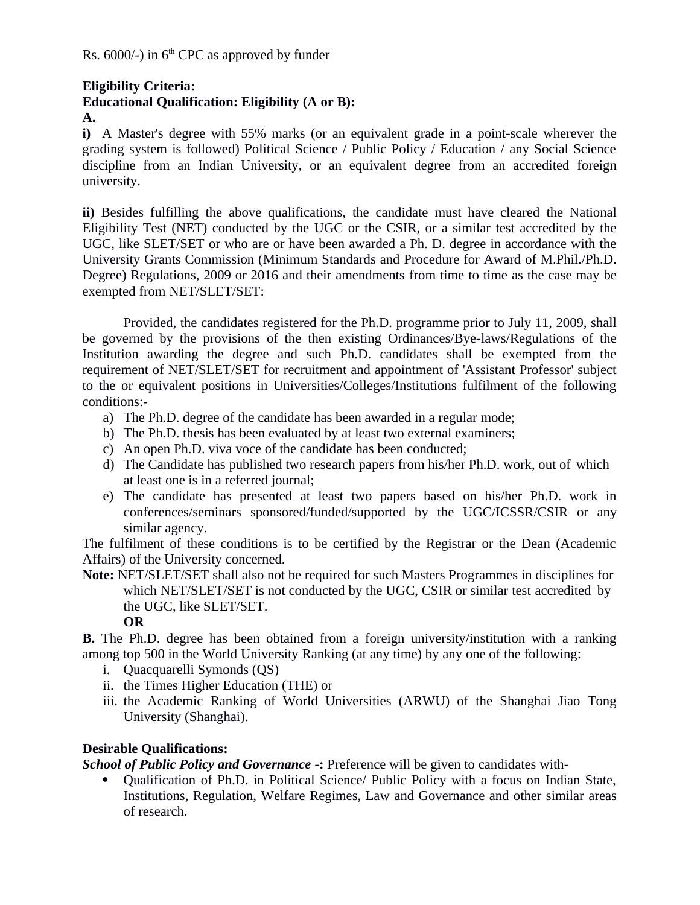### **Eligibility Criteria:**

# **Educational Qualification: Eligibility (A or B):**

**A.**

**i)** A Master's degree with 55% marks (or an equivalent grade in a point-scale wherever the grading system is followed) Political Science / Public Policy / Education / any Social Science discipline from an Indian University, or an equivalent degree from an accredited foreign university.

**ii)** Besides fulfilling the above qualifications, the candidate must have cleared the National Eligibility Test (NET) conducted by the UGC or the CSIR, or a similar test accredited by the UGC, like SLET/SET or who are or have been awarded a Ph. D. degree in accordance with the University Grants Commission (Minimum Standards and Procedure for Award of M.Phil./Ph.D. Degree) Regulations, 2009 or 2016 and their amendments from time to time as the case may be exempted from NET/SLET/SET:

Provided, the candidates registered for the Ph.D. programme prior to July 11, 2009, shall be governed by the provisions of the then existing Ordinances/Bye-laws/Regulations of the Institution awarding the degree and such Ph.D. candidates shall be exempted from the requirement of NET/SLET/SET for recruitment and appointment of 'Assistant Professor' subject to the or equivalent positions in Universities/Colleges/Institutions fulfilment of the following conditions:-

- a) The Ph.D. degree of the candidate has been awarded in a regular mode;
- b) The Ph.D. thesis has been evaluated by at least two external examiners;
- c) An open Ph.D. viva voce of the candidate has been conducted;
- d) The Candidate has published two research papers from his/her Ph.D. work, out of which at least one is in a referred journal;
- e) The candidate has presented at least two papers based on his/her Ph.D. work in conferences/seminars sponsored/funded/supported by the UGC/ICSSR/CSIR or any similar agency.

The fulfilment of these conditions is to be certified by the Registrar or the Dean (Academic Affairs) of the University concerned.

**Note:** NET/SLET/SET shall also not be required for such Masters Programmes in disciplines for which NET/SLET/SET is not conducted by the UGC, CSIR or similar test accredited by the UGC, like SLET/SET.

### **OR**

**B.** The Ph.D. degree has been obtained from a foreign university/institution with a ranking among top 500 in the World University Ranking (at any time) by any one of the following:

- i. Quacquarelli Symonds (QS)
- ii. the Times Higher Education (THE) or
- iii. the Academic Ranking of World Universities (ARWU) of the Shanghai Jiao Tong University (Shanghai).

# **Desirable Qualifications:**

*School of Public Policy and Governance* **-:** Preference will be given to candidates with-

• Qualification of Ph.D. in Political Science/ Public Policy with a focus on Indian State, Institutions, Regulation, Welfare Regimes, Law and Governance and other similar areas of research.